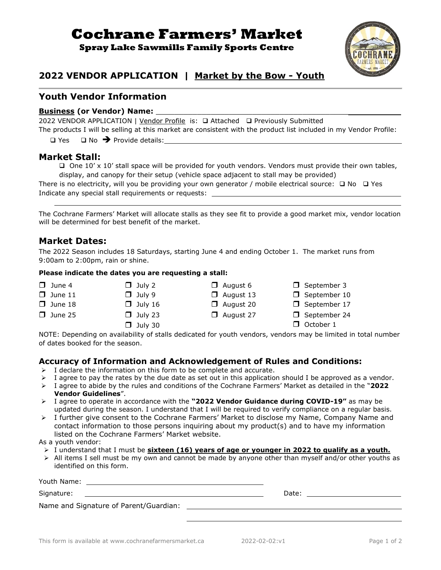# **Cochrane Farmers' Market**

**Spray Lake Sawmills Family Sports Centre**



## **2022 VENDOR APPLICATION | Market by the Bow - Youth**

## **Youth Vendor Information**

#### **Business (or Vendor) Name:**

2022 VENDOR APPLICATION | Vendor Profile is: ❑ Attached ❑ Previously Submitted The products I will be selling at this market are consistent with the product list included in my Vendor Profile:

❑ Yes ❑ No ➔ Provide details:

#### **Market Stall:**

❑ One 10' x 10' stall space will be provided for youth vendors. Vendors must provide their own tables, display, and canopy for their setup (vehicle space adjacent to stall may be provided)

There is no electricity, will you be providing your own generator / mobile electrical source: □ No □ Yes Indicate any special stall requirements or requests:

The Cochrane Farmers' Market will allocate stalls as they see fit to provide a good market mix, vendor location will be determined for best benefit of the market.

#### **Market Dates:**

The 2022 Season includes 18 Saturdays, starting June 4 and ending October 1. The market runs from 9:00am to 2:00pm, rain or shine.

#### **Please indicate the dates you are requesting a stall:**

- 
- 
- 
- 
- $\Box$  June 25  $\Box$  July 23  $\Box$  August 27  $\Box$  September 24
	-
- $\Box$  June 4  $\Box$  July 2  $\Box$  August 6  $\Box$  September 3  $\Box$  June 18  $\Box$  July 16  $\Box$  August 20  $\Box$  September 17

 $\Box$  June 11  $\Box$  July 9  $\Box$  August 13  $\Box$  September 10

- 
- $\Box$  July 30  $\Box$  October 1

NOTE: Depending on availability of stalls dedicated for youth vendors, vendors may be limited in total number of dates booked for the season.

#### **Accuracy of Information and Acknowledgement of Rules and Conditions:**

- $\triangleright$  I declare the information on this form to be complete and accurate.
- $\triangleright$  I agree to pay the rates by the due date as set out in this application should I be approved as a vendor.
- ➢ I agree to abide by the rules and conditions of the Cochrane Farmers' Market as detailed in the "**2022 Vendor Guidelines**".
- ➢ I agree to operate in accordance with the **"2022 Vendor Guidance during COVID-19"** as may be updated during the season. I understand that I will be required to verify compliance on a regular basis.
- ➢ I further give consent to the Cochrane Farmers' Market to disclose my Name, Company Name and contact information to those persons inquiring about my product(s) and to have my information listed on the Cochrane Farmers' Market website.

As a youth vendor:

- ➢ I understand that I must be **sixteen (16) years of age or younger in 2022 to qualify as a youth.**
- $\triangleright$  All items I sell must be my own and cannot be made by anyone other than myself and/or other youths as identified on this form.

| Youth Name:<br><u> 1980 - Jan Sarajević, politički politički politički kalendar († 1908)</u>                   |       |
|----------------------------------------------------------------------------------------------------------------|-------|
|                                                                                                                | Date: |
| Name and Signature of Parent/Guardian: Name of the Senate of The Senate of Parents and Signature of Parents of |       |
|                                                                                                                |       |
|                                                                                                                |       |